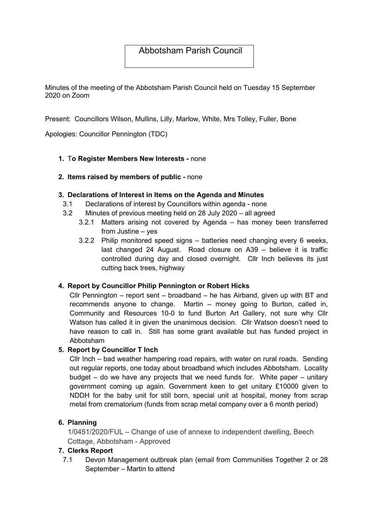# Abbotsham Parish Council

Minutes of the meeting of the Abbotsham Parish Council held on Tuesday 15 September 2020 on Zoom

Present: Councillors Wilson, Mullins, Lilly, Marlow, White, Mrs Tolley, Fuller, Bone

Apologies: Councillor Pennington (TDC)

### 1. To Register Members New Interests - none

### 2. Items raised by members of public - none

#### 3. Declarations of Interest in Items on the Agenda and Minutes

- 3.1 Declarations of interest by Councillors within agenda none
- 3.2 Minutes of previous meeting held on 28 July 2020 all agreed
	- 3.2.1 Matters arising not covered by Agenda has money been transferred from Justine – yes
	- 3.2.2 Philip monitored speed signs batteries need changing every 6 weeks, last changed 24 August. Road closure on A39 – believe it is traffic controlled during day and closed overnight. Cllr Inch believes its just cutting back trees, highway

### 4. Report by Councillor Philip Pennington or Robert Hicks

Cllr Pennington – report sent – broadband – he has Airband, given up with BT and recommends anyone to change. Martin – money going to Burton, called in, Community and Resources 10-0 to fund Burton Art Gallery, not sure why Cllr Watson has called it in given the unanimous decision. Cllr Watson doesn't need to have reason to call in. Still has some grant available but has funded project in Abbotsham

#### 5. Report by Councillor T Inch

Cllr Inch – bad weather hampering road repairs, with water on rural roads. Sending out regular reports, one today about broadband which includes Abbotsham. Locality budget – do we have any projects that we need funds for. White paper – unitary government coming up again. Government keen to get unitary £10000 given to NDDH for the baby unit for still born, special unit at hospital, money from scrap metal from crematorium (funds from scrap metal company over a 6 month period)

### 6. Planning

1/0451/2020/FUL – Change of use of annexe to independent dwelling, Beech Cottage, Abbotsham - Approved

### 7. Clerks Report

7.1 Devon Management outbreak plan (email from Communities Together 2 or 28 September – Martin to attend